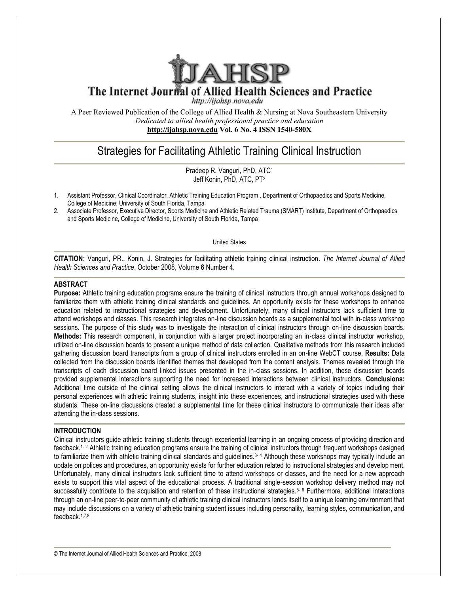

A Peer Reviewed Publication of the College of Allied Health & Nursing at Nova Southeastern University *Dedicated to allied health professional practice and education* **<http://ijahsp.nova.edu> http://ijahsp.nova.edu Vol. 6 No. 4 ISSN 1540-580X** 

# Strategies for Facilitating Athletic Training Clinical Instruction

Pradeep R. Vanguri, PhD, ATC<sup>1</sup> Jeff Konin, PhD, ATC, PT<sup>2</sup>

- 1. Assistant Professor, Clinical Coordinator, Athletic Training Education Program, Department of Orthopaedics and Sports Medicine, College of Medicine, University of South Florida, Tampa
- 2. Associate Professor, Executive Director, Sports Medicine and Athletic Related Trauma (SMART) Institut of Athletic Institute, Department of Orthopaedics and Sports Medicine, College of Medicine, University of South Florida, Tampa<br>United States

**CITATION:** Vanguri, PR., Konin, J. Strategies for facilitating athletic training clinical instruction Strategies instruction. *The Internet Journal of*  Health Sciences and Practice. October 2008, Volume 6 Number 4.

## **ABSTRACT**

**Purpose:** Athletic training education programs ensure the training of clinical instructors through annual workshops designed to Purpose: Athletic training education programs ensure the training of clinical instructors through annual workshops designed to<br>familiarize them with athletic training clinical standards and guidelines. An opportunity exist education related to instructional strategies and development. Unfortunately, many clinical instructors lack sufficient time to education related to instructional strategies and development. Unfortunately, many clinical instructors lack sufficient time to<br>attend workshops and classes. This research integrates on-line discussion boards as a suppleme sessions. The purpose of this study was to investigate the interaction of clinical instructors through on-line discussion boards. Methods: This research component, in conjunction with a larger project incorporating an in-class clinical instructor workshop, utilized on-line discussion boards to present a unique method of data collection. Qualitative methods from this research included gathering discussion board transcripts from a group of clinical instructors enrolled in an on-line WebCT course. Results: collected from the discussion boards identified themes that developed from the content analysis. Themes revealed through the collected from the discussion boards identified themes that developed from the content analysis. Themes revealed through the<br>transcripts of each discussion board linked issues presented in the in-class sessions. In additio provided supplemental interactions supporting the need for increased interactions between clinical instructors. Conclusions: Additional time outside of the clinical setting allows the clinical instructors to interact with a variety of topics including their Additional time outside of the clinical setting allows the clinical instructors to interact with a variety of topics including their<br>personal experiences with athletic training students, insight into these experiences, and students. These on-line discussions created a supplemental time for these clinical instructors to communicate their ideas after<br>
attending the in-class sessions.<br>
INTRODUCTION<br>
Clinical instructors guide athletic training attending the in-class sessions. eculive Director, Spots Medicine and Athletic Reiated Trauma (SMART) Institute. Department of Orthopaedics<br>United States United States<br>
United States<br>
Konin, J. Strategies for facilitating athletic training clinical instru mental tool with in-class workshop<br>prough on-line discussion boards.<br>class clinical instructor workshop,<br>sthods from this research included<br>ne WebCT course. **Results:** Data class sessions. In addition, these discussion boards<br>teractions between clinical instructors. **Conclusions:**<br>Drs to interact with a variety of topics including their<br>periences, and instructional strategies used with these<br>

## **INTRODUCTION**

Clinical instructors guide athletic training students through experiential learning in an ongoing process of providing direction and feedback.<sup>1-2</sup> Athletic training education programs ensure the training of clinical instructors through frequent workshops designed to familiarize them with athletic training clinical standards and guidelines.<sup>3-4</sup> Although these workshops may typically include an update on polices and procedures, an opportunity exists for further education related to instructional strategies and develop Unfortunately, many clinical instructors lack sufficient time to attend workshops or classes, and the need for a new approach Unfortunately, many clinical instructors lack sufficient time to attend workshops or classes, and the need for a new approach<br>exists to support this vital aspect of the educational process. A traditional single-session wor successfully contribute to the acquisition and retention of these instructional strategies.<sup>5</sup> 6 Furthermore, additional interactions through an on-line peer-to-peer community of athletic training clinical instructors lends itself to a unique learning environment that may include discussions on a variety of athletic training student issues including personality, learning styles, communication, and feedback.1,7,8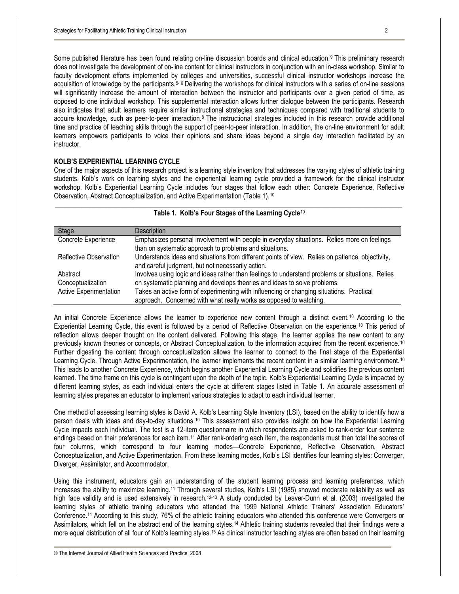Some published literature has been found relating on-line discussion boards and clinical education.<sup>9</sup> This preliminary research does not investigate the development of on-line content for clinical instructors in conjunction with an in-class workshop. Similar to faculty development efforts implemented by colleges and universities, successful clinical instructor workshops increase the acquisition of knowledge by the participants.<sup>5-6</sup> Delivering the workshops for clinical instructors with a series of on-line sessions will significantly increase the amount of interaction between the instructor and participants over a given period of time, as opposed to one individual workshop. This supplemental interaction allows further dialogue between the participants. Research also indicates that adult learners require similar instructional strategies and techniques compared with traditional students to acquire knowledge, such as peer-to-peer interaction.8 The instructional strategies included in this research provide additional time and practice of teaching skills through the support of peer-to-peer interaction. In addition, the on-line environment for adult learners empowers participants to voice their opinions and share ideas beyond a single day interaction facilitated by an instructor.

# **KOLB'S EXPERIENTIAL LEARNING CYCLE**

One of the major aspects of this research project is a learning style inventory that addresses the varying styles of athletic training students. Kolb's work on learning styles and the experiential learning cycle provided a framework for the clinical instructor workshop. Kolb's Experiential Learning Cycle includes four stages that follow each other: Concrete Experience, Reflective Observation, Abstract Conceptualization, and Active Experimentation (Table 1).<sup>10</sup>

| Stage                         | <b>Description</b>                                                                                                                                     |
|-------------------------------|--------------------------------------------------------------------------------------------------------------------------------------------------------|
| Concrete Experience           | Emphasizes personal involvement with people in everyday situations. Relies more on feelings<br>than on systematic approach to problems and situations. |
| Reflective Observation        | Understands ideas and situations from different points of view. Relies on patience, objectivity,<br>and careful judgment, but not necessarily action.  |
| Abstract                      | Involves using logic and ideas rather than feelings to understand problems or situations. Relies                                                       |
| Conceptualization             | on systematic planning and develops theories and ideas to solve problems.                                                                              |
| <b>Active Experimentation</b> | Takes an active form of experimenting with influencing or changing situations. Practical                                                               |
|                               | approach. Concerned with what really works as opposed to watching.                                                                                     |

#### \_\_\_\_\_\_\_\_\_\_\_\_\_\_\_\_\_\_\_\_\_\_\_\_\_\_\_\_\_\_\_\_\_\_\_\_\_\_\_\_\_\_\_\_\_\_\_\_\_\_\_\_\_\_\_\_\_\_\_\_\_\_\_\_\_\_\_\_\_\_\_\_\_\_\_\_\_\_\_\_\_\_\_\_\_\_\_\_\_\_\_\_\_\_\_\_\_\_\_\_\_\_ **Table 1. Kolb's Four Stages of the Learning Cycle**<sup>10</sup>

An initial Concrete Experience allows the learner to experience new content through a distinct event.<sup>10</sup> According to the Experiential Learning Cycle, this event is followed by a period of Reflective Observation on the experience.<sup>10</sup> This period of reflection allows deeper thought on the content delivered. Following this stage, the learner applies the new content to any previously known theories or concepts, or Abstract Conceptualization, to the information acquired from the recent experience. <sup>10</sup> Further digesting the content through conceptualization allows the learner to connect to the final stage of the Experiential Learning Cycle. Through Active Experimentation, the learner implements the recent content in a similar learning environment.<sup>10</sup> This leads to another Concrete Experience, which begins another Experiential Learning Cycle and solidifies the previous content learned. The time frame on this cycle is contingent upon the depth of the topic. Kolb's Experiential Learning Cycle is impacted by different learning styles, as each individual enters the cycle at different stages listed in Table 1. An accurate assessment of learning styles prepares an educator to implement various strategies to adapt to each individual learner.

One method of assessing learning styles is David A. Kolb's Learning Style Inventory (LSI), based on the ability to identify how a person deals with ideas and day-to-day situations.<sup>10</sup> This assessment also provides insight on how the Experiential Learning Cycle impacts each individual. The test is a 12-item questionnaire in which respondents are asked to rank-order four sentence endings based on their preferences for each item.<sup>11</sup> After rank-ordering each item, the respondents must then total the scores of four columns, which correspond to four learning modes—Concrete Experience, Reflective Observation, Abstract Conceptualization, and Active Experimentation. From these learning modes, Kolb's LSI identifies four learning styles: Converger, Diverger, Assimilator, and Accommodator.

Using this instrument, educators gain an understanding of the student learning process and learning preferences, which increases the ability to maximize learning.<sup>11</sup> Through several studies, Kolb's LSI (1985) showed moderate reliability as well as high face validity and is used extensively in research.<sup>12-13</sup> A study conducted by Leaver-Dunn et al. (2003) investigated the learning styles of athletic training educators who attended the 1999 National Athletic Trainers' Association Educators' Conference.<sup>14</sup> According to this study, 76% of the athletic training educators who attended this conference were Convergers or Assimilators, which fell on the abstract end of the learning styles.<sup>14</sup> Athletic training students revealed that their findings were a more equal distribution of all four of Kolb's learning styles.<sup>15</sup> As clinical instructor teaching styles are often based on their learning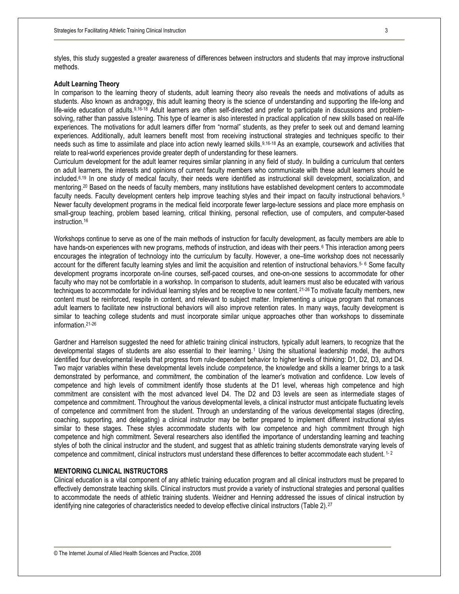styles, this study suggested a greater awareness of differences between instructors and students that may improve instructional methods.

## **Adult Learning Theory**

In comparison to the learning theory of students, adult learning theory also reveals the needs and motivations of adults as students. Also known as andragogy, this adult learning theory is the science of understanding and supporting the life-long and life-wide education of adults.<sup>9,16-18</sup> Adult learners are often self-directed and prefer to participate in discussions and problemsolving, rather than passive listening. This type of learner is also interested in practical application of new skills based on real-life experiences. The motivations for adult learners differ from "normal" students, as they prefer to seek out and demand learning experiences. Additionally, adult learners benefit most from receiving instructional strategies and techniques specific to their needs such as time to assimilate and place into action newly learned skills.9,16-18 As an example, coursework and activities that relate to real-world experiences provide greater depth of understanding for these learners.

Curriculum development for the adult learner requires similar planning in any field of study. In building a curriculum that centers on adult learners, the interests and opinions of current faculty members who communicate with these adult learners should be included.6,19 In one study of medical faculty, their needs were identified as instructional skill development, socialization, and mentoring.<sup>20</sup> Based on the needs of faculty members, many institutions have established development centers to accommodate faculty needs. Faculty development centers help improve teaching styles and their impact on faculty instructional behaviors.<sup>5</sup> Newer faculty development programs in the medical field incorporate fewer large-lecture sessions and place more emphasis on small-group teaching, problem based learning, critical thinking, personal reflection, use of computers, and computer-based instruction.<sup>16</sup>

Workshops continue to serve as one of the main methods of instruction for faculty development, as faculty members are able to have hands-on experiences with new programs, methods of instruction, and ideas with their peers. <sup>6</sup> This interaction among peers encourages the integration of technology into the curriculum by faculty. However, a one–time workshop does not necessarily account for the different faculty learning styles and limit the acquisition and retention of instructional behaviors.<sup>5-6</sup> Some faculty development programs incorporate on-line courses, self-paced courses, and one-on-one sessions to accommodate for other faculty who may not be comfortable in a workshop. In comparison to students, adult learners must also be educated with various techniques to accommodate for individual learning styles and be receptive to new content.<sup>21-26</sup> To motivate faculty members, new content must be reinforced, respite in content, and relevant to subject matter. Implementing a unique program that romances adult learners to facilitate new instructional behaviors will also improve retention rates. In many ways, faculty development is similar to teaching college students and must incorporate similar unique approaches other than workshops to disseminate information.21-26

Gardner and Harrelson suggested the need for athletic training clinical instructors, typically adult learners, to recognize that the developmental stages of students are also essential to their learning.<sup>1</sup> Using the situational leadership model, the authors identified four developmental levels that progress from rule-dependent behavior to higher levels of thinking: D1, D2, D3, and D4. Two major variables within these developmental levels include *competence*, the knowledge and skills a learner brings to a task demonstrated by performance, and *commitment*, the combination of the learner's motivation and confidence. Low levels of competence and high levels of commitment identify those students at the D1 level, whereas high competence and high commitment are consistent with the most advanced level D4. The D2 and D3 levels are seen as intermediate stages of competence and commitment. Throughout the various developmental levels, a clinical instructor must anticipate fluctuating levels of competence and commitment from the student. Through an understanding of the various developmental stages (directing, coaching, supporting, and delegating) a clinical instructor may be better prepared to implement different instructional styles similar to these stages. These styles accommodate students with low competence and high commitment through high competence and high commitment. Several researchers also identified the importance of understanding learning and teaching styles of both the clinical instructor and the student, and suggest that as athletic training students demonstrate varying levels of competence and commitment, clinical instructors must understand these differences to better accommodate each student. <sup>1-2</sup>

## **MENTORING CLINICAL INSTRUCTORS**

Clinical education is a vital component of any athletic training education program and all clinical instructors must be prepared to effectively demonstrate teaching skills. Clinical instructors must provide a variety of instructional strategies and personal qualities to accommodate the needs of athletic training students. Weidner and Henning addressed the issues of clinical instruction by identifying nine categories of characteristics needed to develop effective clinical instructors (Table 2).<sup>27</sup>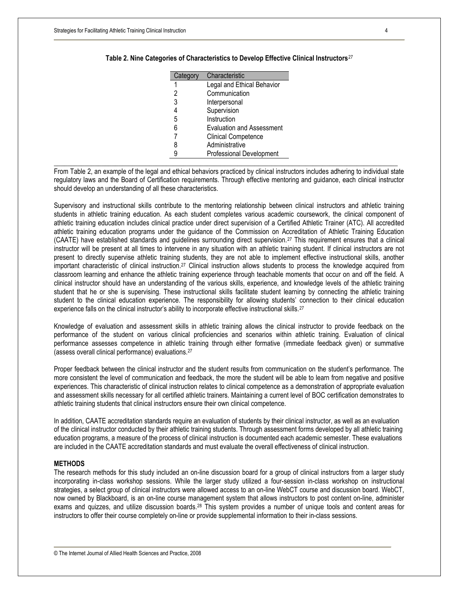| Category | Characteristic                   |
|----------|----------------------------------|
|          | Legal and Ethical Behavior       |
|          | Communication                    |
| 3        | Interpersonal                    |
| 4        | Supervision                      |
| 5        | Instruction                      |
| 6        | <b>Evaluation and Assessment</b> |
|          | <b>Clinical Competence</b>       |
| 8        | Administrative                   |
| a        | Professional Development         |

#### **Table 2. Nine Categories of Characteristics to Develop Effective Clinical Instructors**<sup>27</sup>

From Table 2, an example of the legal and ethical behaviors practiced by clinical instructors includes adhering to individual state regulatory laws and the Board of Certification requirements. Through effective mentoring and guidance, each clinical instructor should develop an understanding of all these characteristics.

Supervisory and instructional skills contribute to the mentoring relationship between clinical instructors and athletic training students in athletic training education. As each student completes various academic coursework, the clinical component of athletic training education includes clinical practice under direct supervision of a Certified Athletic Trainer (ATC). All accredited athletic training education programs under the guidance of the Commission on Accreditation of Athletic Training Education (CAATE) have established standards and guidelines surrounding direct supervision.<sup>27</sup> This requirement ensures that a clinical instructor will be present at all times to intervene in any situation with an athletic training student. If clinical instructors are not present to directly supervise athletic training students, they are not able to implement effective instructional skills, another important characteristic of clinical instruction.<sup>27</sup> Clinical instruction allows students to process the knowledge acquired from classroom learning and enhance the athletic training experience through teachable moments that occur on and off the field. A clinical instructor should have an understanding of the various skills, experience, and knowledge levels of the athletic training student that he or she is supervising. These instructional skills facilitate student learning by connecting the athletic training student to the clinical education experience. The responsibility for allowing students' connection to their clinical education experience falls on the clinical instructor's ability to incorporate effective instructional skills.<sup>27</sup>

Knowledge of evaluation and assessment skills in athletic training allows the clinical instructor to provide feedback on the performance of the student on various clinical proficiencies and scenarios within athletic training. Evaluation of clinical performance assesses competence in athletic training through either formative (immediate feedback given) or summative (assess overall clinical performance) evaluations.<sup>27</sup>

Proper feedback between the clinical instructor and the student results from communication on the student's performance. The more consistent the level of communication and feedback, the more the student will be able to learn from negative and positive experiences. This characteristic of clinical instruction relates to clinical competence as a demonstration of appropriate evaluation and assessment skills necessary for all certified athletic trainers. Maintaining a current level of BOC certification demonstrates to athletic training students that clinical instructors ensure their own clinical competence.

In addition, CAATE accreditation standards require an evaluation of students by their clinical instructor, as well as an evaluation of the clinical instructor conducted by their athletic training students. Through assessment forms developed by all athletic training education programs, a measure of the process of clinical instruction is documented each academic semester. These evaluations are included in the CAATE accreditation standards and must evaluate the overall effectiveness of clinical instruction.

## **METHODS**

The research methods for this study included an on-line discussion board for a group of clinical instructors from a larger study incorporating in-class workshop sessions. While the larger study utilized a four-session in-class workshop on instructional strategies, a select group of clinical instructors were allowed access to an on-line WebCT course and discussion board. WebCT, now owned by Blackboard, is an on-line course management system that allows instructors to post content on-line, administer exams and quizzes, and utilize discussion boards.<sup>28</sup> This system provides a number of unique tools and content areas for instructors to offer their course completely on-line or provide supplemental information to their in-class sessions.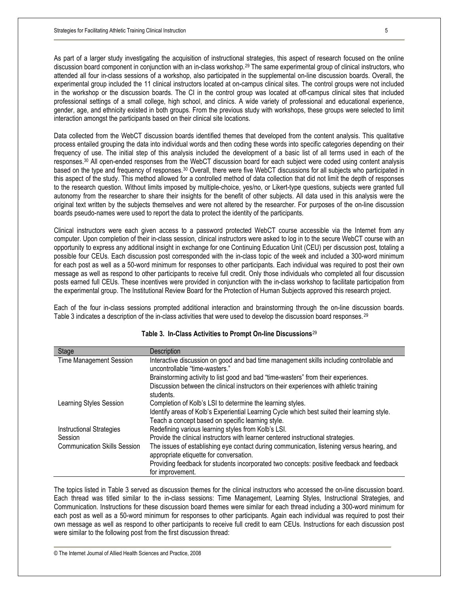As part of a larger study investigating the acquisition of instructional strategies, this aspect of research focused on the online discussion board component in conjunction with an in-class workshop.<sup>29</sup> The same experimental group of clinical instructors, who attended all four in-class sessions of a workshop, also participated in the supplemental on-line discussion boards. Overall, the experimental group included the 11 clinical instructors located at on-campus clinical sites. The control groups were not included in the workshop or the discussion boards. The CI in the control group was located at off-campus clinical sites that included professional settings of a small college, high school, and clinics. A wide variety of professional and educational experience, gender, age, and ethnicity existed in both groups. From the previous study with workshops, these groups were selected to limit interaction amongst the participants based on their clinical site locations.

Data collected from the WebCT discussion boards identified themes that developed from the content analysis. This qualitative process entailed grouping the data into individual words and then coding these words into specific categories depending on their frequency of use. The initial step of this analysis included the development of a basic list of all terms used in each of the responses.<sup>30</sup> All open-ended responses from the WebCT discussion board for each subject were coded using content analysis based on the type and frequency of responses.<sup>30</sup> Overall, there were five WebCT discussions for all subjects who participated in this aspect of the study. This method allowed for a controlled method of data collection that did not limit the depth of responses to the research question. Without limits imposed by multiple-choice, yes/no, or Likert-type questions, subjects were granted full autonomy from the researcher to share their insights for the benefit of other subjects. All data used in this analysis were the original text written by the subjects themselves and were not altered by the researcher. For purposes of the on-line discussion boards pseudo-names were used to report the data to protect the identity of the participants.

Clinical instructors were each given access to a password protected WebCT course accessible via the Internet from any computer. Upon completion of their in-class session, clinical instructors were asked to log in to the secure WebCT course with an opportunity to express any additional insight in exchange for one Continuing Education Unit (CEU) per discussion post, totaling a possible four CEUs. Each discussion post corresponded with the in-class topic of the week and included a 300-word minimum for each post as well as a 50-word minimum for responses to other participants. Each individual was required to post their own message as well as respond to other participants to receive full credit. Only those individuals who completed all four discussion posts earned full CEUs. These incentives were provided in conjunction with the in-class workshop to facilitate participation from the experimental group. The Institutional Review Board for the Protection of Human Subjects approved this research project.

Each of the four in-class sessions prompted additional interaction and brainstorming through the on-line discussion boards. Table 3 indicates a description of the in-class activities that were used to develop the discussion board responses. <sup>29</sup>

| Stage                               | Description                                                                                                                                       |
|-------------------------------------|---------------------------------------------------------------------------------------------------------------------------------------------------|
| Time Management Session             | Interactive discussion on good and bad time management skills including controllable and<br>uncontrollable "time-wasters."                        |
|                                     | Brainstorming activity to list good and bad "time-wasters" from their experiences.                                                                |
|                                     | Discussion between the clinical instructors on their experiences with athletic training<br>students.                                              |
| Learning Styles Session             | Completion of Kolb's LSI to determine the learning styles.                                                                                        |
|                                     | Identify areas of Kolb's Experiential Learning Cycle which best suited their learning style.<br>Teach a concept based on specific learning style. |
| Instructional Strategies            | Redefining various learning styles from Kolb's LSI.                                                                                               |
| Session                             | Provide the clinical instructors with learner centered instructional strategies.                                                                  |
| <b>Communication Skills Session</b> | The issues of establishing eye contact during communication, listening versus hearing, and<br>appropriate etiquette for conversation.             |
|                                     | Providing feedback for students incorporated two concepts: positive feedback and feedback                                                         |
|                                     | for improvement.                                                                                                                                  |

#### **Table 3. In-Class Activities to Prompt On-line Discussions**<sup>29</sup>

The topics listed in Table 3 served as discussion themes for the clinical instructors who accessed the on-line discussion board. Each thread was titled similar to the in-class sessions: Time Management, Learning Styles, Instructional Strategies, and Communication. Instructions for these discussion board themes were similar for each thread including a 300-word minimum for each post as well as a 50-word minimum for responses to other participants. Again each individual was required to post their own message as well as respond to other participants to receive full credit to earn CEUs. Instructions for each discussion post were similar to the following post from the first discussion thread:

© The Internet Journal of Allied Health Sciences and Practice, 2008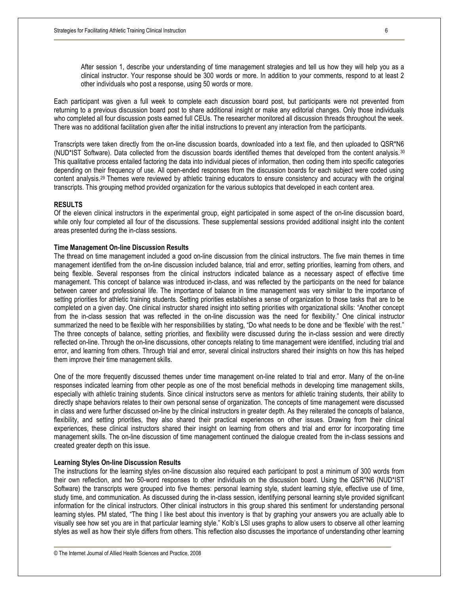After session 1, describe your understanding of time management strategies and tell us how they will help you as a clinical instructor. Your response should be 300 words or more. In addition to your comments, respond to at least 2 other individuals who post a response, using 50 words or more.

Each participant was given a full week to complete each discussion board post, but participants were not prevented from returning to a previous discussion board post to share additional insight or make any editorial changes. Only those individuals who completed all four discussion posts earned full CEUs. The researcher monitored all discussion threads throughout the week. There was no additional facilitation given after the initial instructions to prevent any interaction from the participants.

Transcripts were taken directly from the on-line discussion boards, downloaded into a text file, and then uploaded to QSR\*N6 (NUD\*IST Software). Data collected from the discussion boards identified themes that developed from the content analysis. <sup>30</sup> This qualitative process entailed factoring the data into individual pieces of information, then coding them into specific categories depending on their frequency of use. All open-ended responses from the discussion boards for each subject were coded using content analysis.29 Themes were reviewed by athletic training educators to ensure consistency and accuracy with the original transcripts. This grouping method provided organization for the various subtopics that developed in each content area.

#### **RESULTS**

Of the eleven clinical instructors in the experimental group, eight participated in some aspect of the on-line discussion board, while only four completed all four of the discussions. These supplemental sessions provided additional insight into the content areas presented during the in-class sessions.

#### **Time Management On-line Discussion Results**

The thread on time management included a good on-line discussion from the clinical instructors. The five main themes in time management identified from the on-line discussion included balance, trial and error, setting priorities, learning from others, and being flexible. Several responses from the clinical instructors indicated balance as a necessary aspect of effective time management. This concept of balance was introduced in-class, and was reflected by the participants on the need for balance between career and professional life. The importance of balance in time management was very similar to the importance of setting priorities for athletic training students. Setting priorities establishes a sense of organization to those tasks that are to be completed on a given day. One clinical instructor shared insight into setting priorities with organizational skills: "Another concept from the in-class session that was reflected in the on-line discussion was the need for flexibility." One clinical instructor summarized the need to be flexible with her responsibilities by stating, "Do what needs to be done and be 'flexible' with the rest." The three concepts of balance, setting priorities, and flexibility were discussed during the in-class session and were directly reflected on-line. Through the on-line discussions, other concepts relating to time management were identified, including trial and error, and learning from others. Through trial and error, several clinical instructors shared their insights on how this has helped them improve their time management skills.

One of the more frequently discussed themes under time management on-line related to trial and error. Many of the on-line responses indicated learning from other people as one of the most beneficial methods in developing time management skills, especially with athletic training students. Since clinical instructors serve as mentors for athletic training students, their ability to directly shape behaviors relates to their own personal sense of organization. The concepts of time management were discussed in class and were further discussed on-line by the clinical instructors in greater depth. As they reiterated the concepts of balance, flexibility, and setting priorities, they also shared their practical experiences on other issues. Drawing from their clinical experiences, these clinical instructors shared their insight on learning from others and trial and error for incorporating time management skills. The on-line discussion of time management continued the dialogue created from the in-class sessions and created greater depth on this issue.

#### **Learning Styles On-line Discussion Results**

The instructions for the learning styles on-line discussion also required each participant to post a minimum of 300 words from their own reflection, and two 50-word responses to other individuals on the discussion board. Using the QSR\*N6 (NUD\*IST Software) the transcripts were grouped into five themes: personal learning style, student learning style, effective use of time, study time, and communication. As discussed during the in-class session, identifying personal learning style provided significant information for the clinical instructors. Other clinical instructors in this group shared this sentiment for understanding personal learning styles. PM stated, "The thing I like best about this inventory is that by graphing your answers you are actually able to visually see how set you are in that particular learning style." Kolb's LSI uses graphs to allow users to observe all other learning styles as well as how their style differs from others. This reflection also discusses the importance of understanding other learning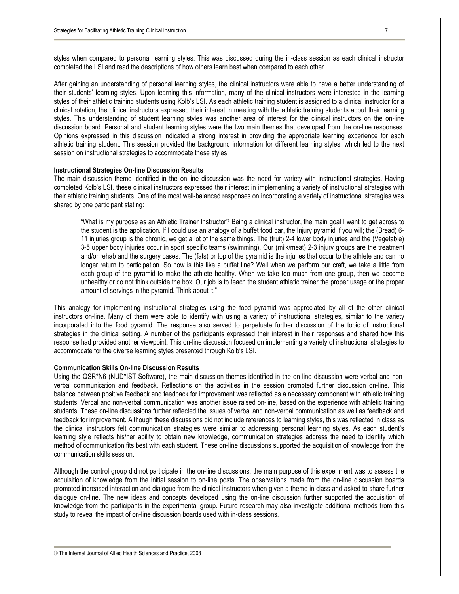After gaining an understanding of personal learning styles, the clinical instructors were able to have a better understanding of their students' learning styles. Upon learning this information, many of the clinical instructors were interested in the learning styles of their athletic training students using Kolb's LSI. As each athletic training student is assigned to a clinical instructor for a clinical rotation, the clinical instructors expressed their interest in meeting with the athletic training students about their learning styles. This understanding of student learning styles was another area of interest for the clinical instructors on the on-line discussion board. Personal and student learning styles were the two main themes that developed from the on-line responses. Opinions expressed in this discussion indicated a strong interest in providing the appropriate learning experience for each athletic training student. This session provided the background information for different learning styles, which led to the next session on instructional strategies to accommodate these styles.

## **Instructional Strategies On-line Discussion Results**

The main discussion theme identified in the on-line discussion was the need for variety with instructional strategies. Having completed Kolb's LSI, these clinical instructors expressed their interest in implementing a variety of instructional strategies with their athletic training students. One of the most well-balanced responses on incorporating a variety of instructional strategies was shared by one participant stating:

"What is my purpose as an Athletic Trainer Instructor? Being a clinical instructor, the main goal I want to get across to the student is the application. If I could use an analogy of a buffet food bar, the Injury pyramid if you will; the (Bread) 6- 11 injuries group is the chronic, we get a lot of the same things. The (fruit) 2-4 lower body injuries and the (Vegetable) 3-5 upper body injuries occur in sport specific teams (swimming). Our (milk/meat) 2-3 injury groups are the treatment and/or rehab and the surgery cases. The (fats) or top of the pyramid is the injuries that occur to the athlete and can no longer return to participation. So how is this like a buffet line? Well when we perform our craft, we take a little from each group of the pyramid to make the athlete healthy. When we take too much from one group, then we become unhealthy or do not think outside the box. Our job is to teach the student athletic trainer the proper usage or the proper amount of servings in the pyramid. Think about it."

This analogy for implementing instructional strategies using the food pyramid was appreciated by all of the other clinical instructors on-line. Many of them were able to identify with using a variety of instructional strategies, similar to the variety incorporated into the food pyramid. The response also served to perpetuate further discussion of the topic of instructional strategies in the clinical setting. A number of the participants expressed their interest in their responses and shared how this response had provided another viewpoint. This on-line discussion focused on implementing a variety of instructional strategies to accommodate for the diverse learning styles presented through Kolb's LSI.

## **Communication Skills On-line Discussion Results**

Using the QSR\*N6 (NUD\*IST Software), the main discussion themes identified in the on-line discussion were verbal and nonverbal communication and feedback. Reflections on the activities in the session prompted further discussion on-line. This balance between positive feedback and feedback for improvement was reflected as a necessary component with athletic training students. Verbal and non-verbal communication was another issue raised on-line, based on the experience with athletic training students. These on-line discussions further reflected the issues of verbal and non-verbal communication as well as feedback and feedback for improvement. Although these discussions did not include references to learning styles, this was reflected in class as the clinical instructors felt communication strategies were similar to addressing personal learning styles. As each student's learning style reflects his/her ability to obtain new knowledge, communication strategies address the need to identify which method of communication fits best with each student. These on-line discussions supported the acquisition of knowledge from the communication skills session.

Although the control group did not participate in the on-line discussions, the main purpose of this experiment was to assess the acquisition of knowledge from the initial session to on-line posts. The observations made from the on-line discussion boards promoted increased interaction and dialogue from the clinical instructors when given a theme in class and asked to share further dialogue on-line. The new ideas and concepts developed using the on-line discussion further supported the acquisition of knowledge from the participants in the experimental group. Future research may also investigate additional methods from this study to reveal the impact of on-line discussion boards used with in-class sessions.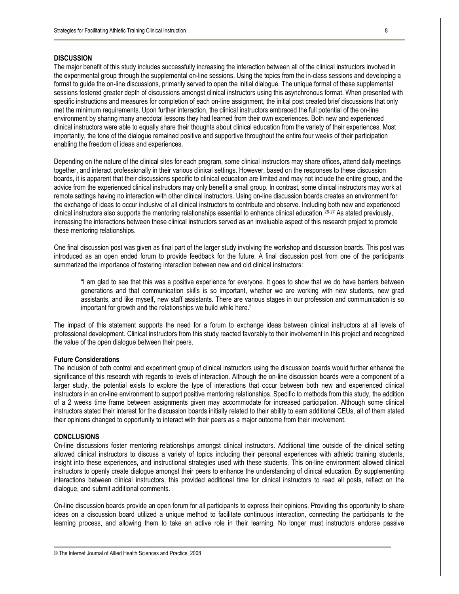## **DISCUSSION**

The major benefit of this study includes successfully increasing the interaction between all of the clinical instructors involved in the experimental group through the supplemental on-line sessions. Using the topics from the in-class sessions and developing a format to guide the on-line discussions, primarily served to open the initial dialogue. The unique format of these supplemental sessions fostered greater depth of discussions amongst clinical instructors using this asynchronous format. When presented with specific instructions and measures for completion of each on-line assignment, the initial post created brief discussions that only met the minimum requirements. Upon further interaction, the clinical instructors embraced the full potential of the on-line environment by sharing many anecdotal lessons they had learned from their own experiences. Both new and experienced clinical instructors were able to equally share their thoughts about clinical education from the variety of their experiences. Most importantly, the tone of the dialogue remained positive and supportive throughout the entire four weeks of their participation enabling the freedom of ideas and experiences.

Depending on the nature of the clinical sites for each program, some clinical instructors may share offices, attend daily meetings together, and interact professionally in their various clinical settings. However, based on the responses to these discussion boards, it is apparent that their discussions specific to clinical education are limited and may not include the entire group, and the advice from the experienced clinical instructors may only benefit a small group. In contrast, some clinical instructors may work at remote settings having no interaction with other clinical instructors. Using on-line discussion boards creates an environment for the exchange of ideas to occur inclusive of all clinical instructors to contribute and observe. Including both new and experienced clinical instructors also supports the mentoring relationships essential to enhance clinical education.26-27 As stated previously, increasing the interactions between these clinical instructors served as an invaluable aspect of this research project to promote these mentoring relationships.

One final discussion post was given as final part of the larger study involving the workshop and discussion boards. This post was introduced as an open ended forum to provide feedback for the future. A final discussion post from one of the participants summarized the importance of fostering interaction between new and old clinical instructors:

"I am glad to see that this was a positive experience for everyone. It goes to show that we do have barriers between generations and that communication skills is so important, whether we are working with new students, new grad assistants, and like myself, new staff assistants. There are various stages in our profession and communication is so important for growth and the relationships we build while here."

The impact of this statement supports the need for a forum to exchange ideas between clinical instructors at all levels of professional development. Clinical instructors from this study reacted favorably to their involvement in this project and recognized the value of the open dialogue between their peers.

#### **Future Considerations**

The inclusion of both control and experiment group of clinical instructors using the discussion boards would further enhance the significance of this research with regards to levels of interaction. Although the on-line discussion boards were a component of a larger study, the potential exists to explore the type of interactions that occur between both new and experienced clinical instructors in an on-line environment to support positive mentoring relationships. Specific to methods from this study, the addition of a 2 weeks time frame between assignments given may accommodate for increased participation. Although some clinical instructors stated their interest for the discussion boards initially related to their ability to earn additional CEUs, all of them stated their opinions changed to opportunity to interact with their peers as a major outcome from their involvement.

## **CONCLUSIONS**

On-line discussions foster mentoring relationships amongst clinical instructors. Additional time outside of the clinical setting allowed clinical instructors to discuss a variety of topics including their personal experiences with athletic training students, insight into these experiences, and instructional strategies used with these students. This on-line environment allowed clinical instructors to openly create dialogue amongst their peers to enhance the understanding of clinical education. By supplementing interactions between clinical instructors, this provided additional time for clinical instructors to read all posts, reflect on the dialogue, and submit additional comments.

On-line discussion boards provide an open forum for all participants to express their opinions. Providing this opportunity to share ideas on a discussion board utilized a unique method to facilitate continuous interaction, connecting the participants to the learning process, and allowing them to take an active role in their learning. No longer must instructors endorse passive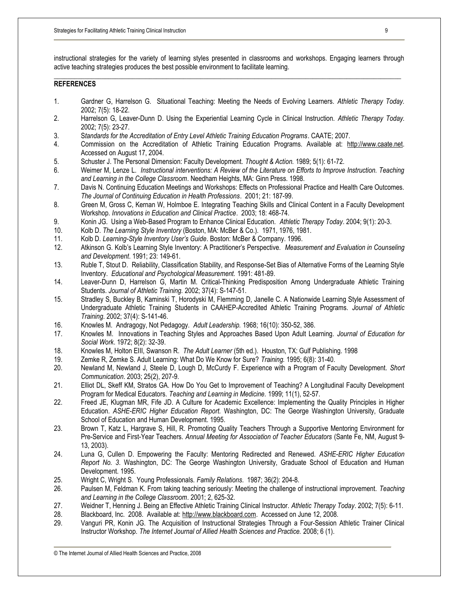instructional strategies for the variety of learning styles presented in classrooms and workshops. Engaging learners through active teaching strategies produces the best possible environment to facilitate learning. \_\_\_\_\_\_\_\_\_\_\_\_\_\_\_\_\_\_\_\_\_\_\_\_\_\_\_\_\_\_\_\_\_\_\_\_\_\_\_\_\_\_\_\_\_\_\_\_\_\_\_\_\_\_\_\_\_\_\_\_\_\_\_\_\_\_\_\_\_\_\_\_\_\_\_\_\_\_\_\_\_\_\_\_\_\_\_\_\_\_\_\_\_\_\_\_\_\_\_\_\_\_

# **REFERENCES**

- 1. Gardner G, Harrelson G. Situational Teaching: Meeting the Needs of Evolving Learners. *Athletic Therapy Today.*  2002; 7(5): 18-22.
- 2. Harrelson G, Leaver-Dunn D. Using the Experiential Learning Cycle in Clinical Instruction. *Athletic Therapy Today.* 2002; 7(5): 23-27.
- 3. S*tandards for the Accreditation of Entry Level Athletic Training Education Programs*. CAATE; 2007.
- 4. Commission on the Accreditation of Athletic Training Education Programs. Available at: [http://www.caate.net.](http://www.caate.net) Accessed on August 17, 2004.
- 5. Schuster J. The Personal Dimension: Faculty Development. *Thought & Action.* 1989; 5(1): 61-72.
- 6. Weimer M, Lenze L. *Instructional interventions: A Review of the Literature on Efforts to Improve Instruction. Teaching and Learning in the College Classroom*. Needham Heights, MA: Ginn Press. 1998.
- 7. Davis N. Continuing Education Meetings and Workshops: Effects on Professional Practice and Health Care Outcomes. *The Journal of Continuing Education in Health Professions*. 2001; 21: 187-99.
- 8. Green M, Gross C, Kernan W, Holmboe E. Integrating Teaching Skills and Clinical Content in a Faculty Development Workshop. *Innovations in Education and Clinical Practice*. 2003; 18: 468-74.
- 9. Konin JG. Using a Web-Based Program to Enhance Clinical Education. *Athletic Therapy Today*. 2004; 9(1): 20-3.
- 10. Kolb D. *The Learning Style Inventory* (Boston, MA: McBer & Co.). 1971, 1976, 1981.
- 11. Kolb D. *Learning-Style Inventory User's Guide*. Boston: McBer & Company. 1996.
- 12. Atkinson G. Kolb's Learning Style Inventory: A Practitioner's Perspective. *Measurement and Evaluation in Counseling and Development*. 1991; 23: 149-61.
- 13. Ruble T, Stout D. Reliability, Classification Stability, and Response-Set Bias of Alternative Forms of the Learning Style Inventory. *Educational and Psychological Measurement.* 1991: 481-89.
- 14. Leaver-Dunn D, Harrelson G, Martin M. Critical-Thinking Predisposition Among Undergraduate Athletic Training Students. *Journal of Athletic Training.* 2002; 37(4): S-147-51.
- 15. Stradley S, Buckley B, Kaminski T, Horodyski M, Flemming D, Janelle C. A Nationwide Learning Style Assessment of Undergraduate Athletic Training Students in CAAHEP-Accredited Athletic Training Programs. *Journal of Athletic Training*. 2002; 37(4): S-141-46.
- 16. Knowles M. Andragogy, Not Pedagogy. *Adult Leadership.* 1968; 16(10): 350-52, 386.
- 17. Knowles M. Innovations in Teaching Styles and Approaches Based Upon Adult Learning. *Journal of Education for Social Work*. 1972; 8(2): 32-39.
- 18. Knowles M, Holton EIII, Swanson R. *The Adult Learner* (5th ed.). Houston, TX: Gulf Publishing. 1998
- 19. Zemke R, Zemke S. Adult Learning: What Do We Know for Sure? *Training.* 1995; 6(8): 31-40.
- 20. Newland M, Newland J, Steele D, Lough D, McCurdy F. Experience with a Program of Faculty Development. *Short Communication*. 2003; 25(2), 207-9.
- 21. Elliot DL, Skeff KM, Stratos GA. How Do You Get to Improvement of Teaching? A Longitudinal Faculty Development Program for Medical Educators. *Teaching and Learning in Medicine.* 1999; 11(1), 52-57.
- 22. Freed JE, Klugman MR, Fife JD. A Culture for Academic Excellence: Implementing the Quality Principles in Higher Education. *ASHE-ERIC Higher Education Report.* Washington, DC: The George Washington University, Graduate School of Education and Human Development. 1995.
- 23. Brown T, Katz L, Hargrave S, Hill, R. Promoting Quality Teachers Through a Supportive Mentoring Environment for Pre-Service and First-Year Teachers. *Annual Meeting for Association of Teacher Educators* (Sante Fe, NM, August 9- 13, 2003).
- 24. Luna G, Cullen D. Empowering the Faculty: Mentoring Redirected and Renewed. *ASHE-ERIC Higher Education Report No. 3*. Washington, DC: The George Washington University, Graduate School of Education and Human Development. 1995.
- 25. Wright C, Wright S. Young Professionals. *Family Relations*. 1987; 36(2): 204-8.
- 26. Paulsen M, Feldman K. From taking teaching seriously: Meeting the challenge of instructional improvement. *Teaching and Learning in the College Classroom*. 2001; 2, 625-32.
- 27. Weidner T, Henning J. Being an Effective Athletic Training Clinical Instructor. *Athletic Therapy Today*. 2002; 7(5): 6-11.
- 28. Blackboard, Inc. 2008. Available at: [http://www.blackboard.com.](http://www.blackboard.com) Accessed on June 12, 2008.
- 29. Vanguri PR, Konin JG. The Acquisition of Instructional Strategies Through a Four-Session Athletic Trainer Clinical Instructor Workshop. *The Internet Journal of Allied Health Sciences and Practice.* 2008; 6 (1).